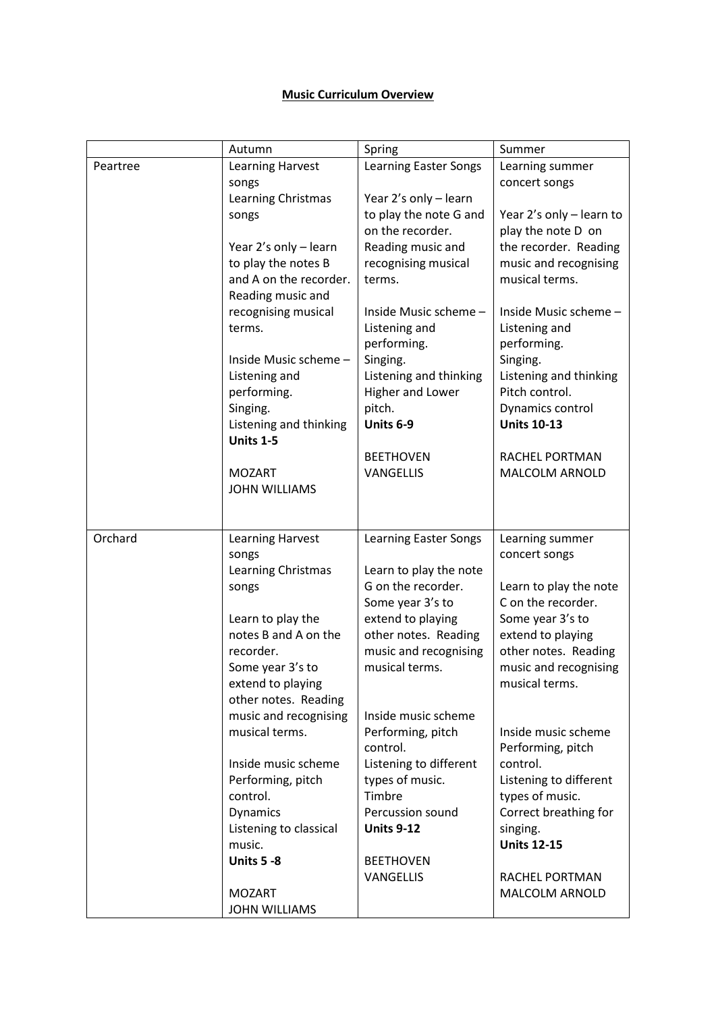## **Music Curriculum Overview**

|          | Autumn                 | Spring                                       | Summer                                       |
|----------|------------------------|----------------------------------------------|----------------------------------------------|
| Peartree | Learning Harvest       | <b>Learning Easter Songs</b>                 | Learning summer                              |
|          | songs                  |                                              | concert songs                                |
|          | Learning Christmas     | Year 2's only - learn                        |                                              |
|          | songs                  | to play the note G and                       | Year 2's only - learn to                     |
|          |                        | on the recorder.                             | play the note D on                           |
|          | Year 2's only - learn  | Reading music and                            | the recorder. Reading                        |
|          | to play the notes B    | recognising musical                          | music and recognising                        |
|          | and A on the recorder. | terms.                                       | musical terms.                               |
|          | Reading music and      |                                              |                                              |
|          | recognising musical    | Inside Music scheme -                        | Inside Music scheme -                        |
|          | terms.                 | Listening and<br>performing.                 | Listening and<br>performing.                 |
|          | Inside Music scheme-   | Singing.                                     | Singing.                                     |
|          | Listening and          | Listening and thinking                       | Listening and thinking                       |
|          | performing.            | Higher and Lower                             | Pitch control.                               |
|          | Singing.               | pitch.                                       | Dynamics control                             |
|          | Listening and thinking | Units 6-9                                    | <b>Units 10-13</b>                           |
|          | Units 1-5              |                                              |                                              |
|          |                        | <b>BEETHOVEN</b>                             | RACHEL PORTMAN                               |
|          | <b>MOZART</b>          | VANGELLIS                                    | MALCOLM ARNOLD                               |
|          | <b>JOHN WILLIAMS</b>   |                                              |                                              |
|          |                        |                                              |                                              |
|          |                        |                                              |                                              |
| Orchard  | Learning Harvest       | <b>Learning Easter Songs</b>                 | Learning summer                              |
|          | songs                  |                                              | concert songs                                |
|          | Learning Christmas     | Learn to play the note<br>G on the recorder. |                                              |
|          | songs                  | Some year 3's to                             | Learn to play the note<br>C on the recorder. |
|          | Learn to play the      | extend to playing                            | Some year 3's to                             |
|          | notes B and A on the   | other notes. Reading                         | extend to playing                            |
|          | recorder.              | music and recognising                        | other notes. Reading                         |
|          | Some year 3's to       | musical terms.                               | music and recognising                        |
|          | extend to playing      |                                              | musical terms.                               |
|          | other notes. Reading   |                                              |                                              |
|          | music and recognising  | Inside music scheme                          |                                              |
|          | musical terms.         | Performing, pitch                            | Inside music scheme                          |
|          |                        | control.                                     | Performing, pitch                            |
|          | Inside music scheme    | Listening to different                       | control.                                     |
|          | Performing, pitch      | types of music.                              | Listening to different                       |
|          | control.               | Timbre                                       | types of music.                              |
|          | Dynamics               | Percussion sound                             | Correct breathing for                        |
|          | Listening to classical | <b>Units 9-12</b>                            | singing.                                     |
|          | music.                 |                                              | <b>Units 12-15</b>                           |
|          | <b>Units 5 -8</b>      | <b>BEETHOVEN</b><br><b>VANGELLIS</b>         | RACHEL PORTMAN                               |
|          | <b>MOZART</b>          |                                              | MALCOLM ARNOLD                               |
|          | <b>JOHN WILLIAMS</b>   |                                              |                                              |
|          |                        |                                              |                                              |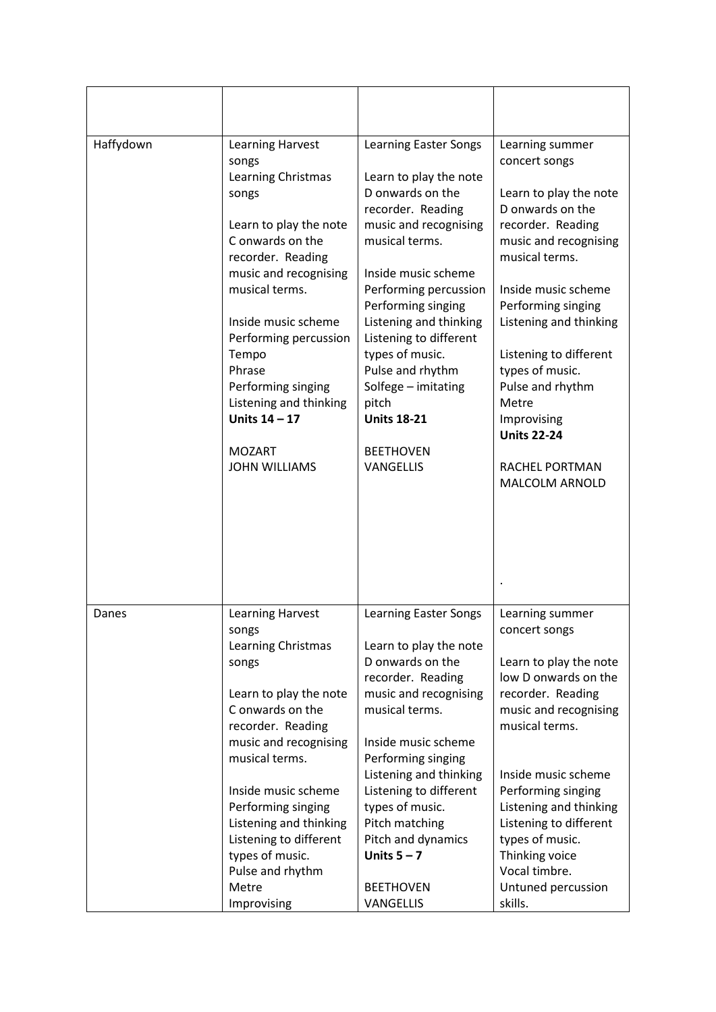| Haffydown | Learning Harvest<br>songs<br>Learning Christmas<br>songs<br>Learn to play the note<br>C onwards on the<br>recorder. Reading<br>music and recognising<br>musical terms.<br>Inside music scheme<br>Performing percussion<br>Tempo<br>Phrase<br>Performing singing<br>Listening and thinking<br>Units $14 - 17$<br><b>MOZART</b><br><b>JOHN WILLIAMS</b> | <b>Learning Easter Songs</b><br>Learn to play the note<br>D onwards on the<br>recorder. Reading<br>music and recognising<br>musical terms.<br>Inside music scheme<br>Performing percussion<br>Performing singing<br>Listening and thinking<br>Listening to different<br>types of music.<br>Pulse and rhythm<br>Solfege - imitating<br>pitch<br><b>Units 18-21</b><br><b>BEETHOVEN</b><br>VANGELLIS | Learning summer<br>concert songs<br>Learn to play the note<br>D onwards on the<br>recorder. Reading<br>music and recognising<br>musical terms.<br>Inside music scheme<br>Performing singing<br>Listening and thinking<br>Listening to different<br>types of music.<br>Pulse and rhythm<br>Metre<br>Improvising<br><b>Units 22-24</b><br>RACHEL PORTMAN<br>MALCOLM ARNOLD |
|-----------|-------------------------------------------------------------------------------------------------------------------------------------------------------------------------------------------------------------------------------------------------------------------------------------------------------------------------------------------------------|----------------------------------------------------------------------------------------------------------------------------------------------------------------------------------------------------------------------------------------------------------------------------------------------------------------------------------------------------------------------------------------------------|--------------------------------------------------------------------------------------------------------------------------------------------------------------------------------------------------------------------------------------------------------------------------------------------------------------------------------------------------------------------------|
| Danes     | Learning Harvest<br>songs<br>Learning Christmas<br>songs<br>Learn to play the note<br>C onwards on the<br>recorder. Reading<br>music and recognising<br>musical terms.<br>Inside music scheme<br>Performing singing<br>Listening and thinking<br>Listening to different<br>types of music.<br>Pulse and rhythm<br>Metre<br>Improvising                | Learning Easter Songs<br>Learn to play the note<br>D onwards on the<br>recorder. Reading<br>music and recognising<br>musical terms.<br>Inside music scheme<br>Performing singing<br>Listening and thinking<br>Listening to different<br>types of music.<br>Pitch matching<br>Pitch and dynamics<br>Units $5 - 7$<br><b>BEETHOVEN</b><br><b>VANGELLIS</b>                                           | Learning summer<br>concert songs<br>Learn to play the note<br>low D onwards on the<br>recorder. Reading<br>music and recognising<br>musical terms.<br>Inside music scheme<br>Performing singing<br>Listening and thinking<br>Listening to different<br>types of music.<br>Thinking voice<br>Vocal timbre.<br>Untuned percussion<br>skills.                               |